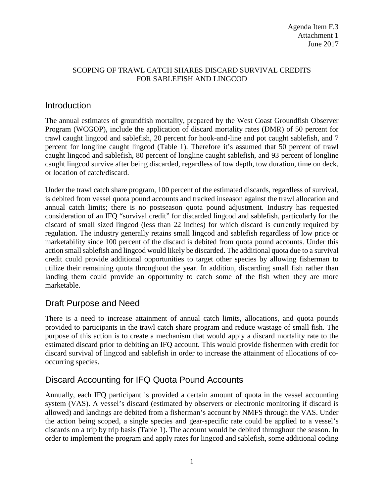#### SCOPING OF TRAWL CATCH SHARES DISCARD SURVIVAL CREDITS FOR SABLEFISH AND LINGCOD

### Introduction

The annual estimates of groundfish mortality, prepared by the West Coast Groundfish Observer Program (WCGOP), include the application of discard mortality rates (DMR) of 50 percent for trawl caught lingcod and sablefish, 20 percent for hook-and-line and pot caught sablefish, and 7 percent for longline caught lingcod (Table 1). Therefore it's assumed that 50 percent of trawl caught lingcod and sablefish, 80 percent of longline caught sablefish, and 93 percent of longline caught lingcod survive after being discarded, regardless of tow depth, tow duration, time on deck, or location of catch/discard.

Under the trawl catch share program, 100 percent of the estimated discards, regardless of survival, is debited from vessel quota pound accounts and tracked inseason against the trawl allocation and annual catch limits; there is no postseason quota pound adjustment. Industry has requested consideration of an IFQ "survival credit" for discarded lingcod and sablefish, particularly for the discard of small sized lingcod (less than 22 inches) for which discard is currently required by regulation. The industry generally retains small lingcod and sablefish regardless of low price or marketability since 100 percent of the discard is debited from quota pound accounts. Under this action small sablefish and lingcod would likely be discarded. The additional quota due to a survival credit could provide additional opportunities to target other species by allowing fisherman to utilize their remaining quota throughout the year. In addition, discarding small fish rather than landing them could provide an opportunity to catch some of the fish when they are more marketable.

# Draft Purpose and Need

There is a need to increase attainment of annual catch limits, allocations, and quota pounds provided to participants in the trawl catch share program and reduce wastage of small fish. The purpose of this action is to create a mechanism that would apply a discard mortality rate to the estimated discard prior to debiting an IFQ account. This would provide fishermen with credit for discard survival of lingcod and sablefish in order to increase the attainment of allocations of cooccurring species.

# Discard Accounting for IFQ Quota Pound Accounts

Annually, each IFQ participant is provided a certain amount of quota in the vessel accounting system (VAS). A vessel's discard (estimated by observers or electronic monitoring if discard is allowed) and landings are debited from a fisherman's account by NMFS through the VAS. Under the action being scoped, a single species and gear-specific rate could be applied to a vessel's discards on a trip by trip basis (Table 1). The account would be debited throughout the season. In order to implement the program and apply rates for lingcod and sablefish, some additional coding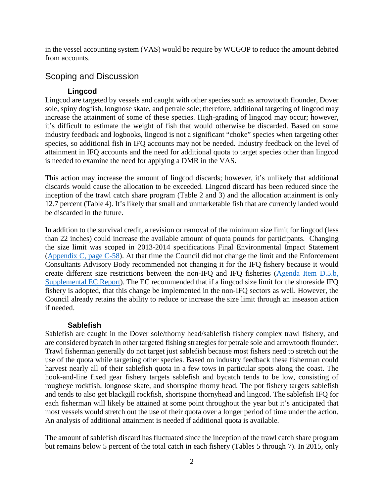in the vessel accounting system (VAS) would be require by WCGOP to reduce the amount debited from accounts.

### Scoping and Discussion

### **Lingcod**

Lingcod are targeted by vessels and caught with other species such as arrowtooth flounder, Dover sole, spiny dogfish, longnose skate, and petrale sole; therefore, additional targeting of lingcod may increase the attainment of some of these species. High-grading of lingcod may occur; however, it's difficult to estimate the weight of fish that would otherwise be discarded. Based on some industry feedback and logbooks, lingcod is not a significant "choke" species when targeting other species, so additional fish in IFQ accounts may not be needed. Industry feedback on the level of attainment in IFQ accounts and the need for additional quota to target species other than lingcod is needed to examine the need for applying a DMR in the VAS.

This action may increase the amount of lingcod discards; however, it's unlikely that additional discards would cause the allocation to be exceeded. Lingcod discard has been reduced since the inception of the trawl catch share program (Table 2 and 3) and the allocation attainment is only 12.7 percent (Table 4). It's likely that small and unmarketable fish that are currently landed would be discarded in the future.

In addition to the survival credit, a revision or removal of the minimum size limit for lingcod (less than 22 inches) could increase the available amount of quota pounds for participants. Changing the size limit was scoped in 2013-2014 specifications Final Environmental Impact Statement [\(Appendix C, page C-58\)](http://www.pcouncil.org/wp-content/uploads/September_2012_AppendixC_13-14_FEIS_SPEX.pdf). At that time the Council did not change the limit and the Enforcement Consultants Advisory Body recommended not changing it for the IFQ fishery because it would create different size restrictions between the non-IFQ and IFQ fisheries [\(Agenda Item D.5.b,](http://www.pcouncil.org/wp-content/uploads/D5b_SUP_EC_JUN2012BB.pdf)  [Supplemental EC Report\)](http://www.pcouncil.org/wp-content/uploads/D5b_SUP_EC_JUN2012BB.pdf). The EC recommended that if a lingcod size limit for the shoreside IFQ fishery is adopted, that this change be implemented in the non-IFQ sectors as well. However, the Council already retains the ability to reduce or increase the size limit through an inseason action if needed.

#### **Sablefish**

Sablefish are caught in the Dover sole/thorny head/sablefish fishery complex trawl fishery, and are considered bycatch in other targeted fishing strategies for petrale sole and arrowtooth flounder. Trawl fisherman generally do not target just sablefish because most fishers need to stretch out the use of the quota while targeting other species. Based on industry feedback these fisherman could harvest nearly all of their sablefish quota in a few tows in particular spots along the coast. The hook-and-line fixed gear fishery targets sablefish and bycatch tends to be low, consisting of rougheye rockfish, longnose skate, and shortspine thorny head. The pot fishery targets sablefish and tends to also get blackgill rockfish, shortspine thornyhead and lingcod. The sablefish IFQ for each fisherman will likely be attained at some point throughout the year but it's anticipated that most vessels would stretch out the use of their quota over a longer period of time under the action. An analysis of additional attainment is needed if additional quota is available.

The amount of sablefish discard has fluctuated since the inception of the trawl catch share program but remains below 5 percent of the total catch in each fishery (Tables 5 through 7). In 2015, only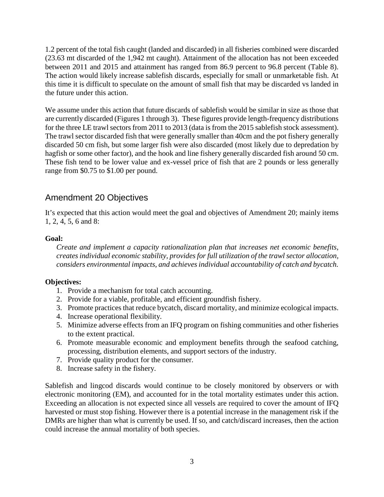1.2 percent of the total fish caught (landed and discarded) in all fisheries combined were discarded (23.63 mt discarded of the 1,942 mt caught). Attainment of the allocation has not been exceeded between 2011 and 2015 and attainment has ranged from 86.9 percent to 96.8 percent (Table 8). The action would likely increase sablefish discards, especially for small or unmarketable fish. At this time it is difficult to speculate on the amount of small fish that may be discarded vs landed in the future under this action.

We assume under this action that future discards of sablefish would be similar in size as those that are currently discarded (Figures 1 through 3). These figures provide length-frequency distributions for the three LE trawl sectors from 2011 to 2013 (data is from the 2015 sablefish stock assessment). The trawl sector discarded fish that were generally smaller than 40cm and the pot fishery generally discarded 50 cm fish, but some larger fish were also discarded (most likely due to depredation by hagfish or some other factor), and the hook and line fishery generally discarded fish around 50 cm. These fish tend to be lower value and ex-vessel price of fish that are 2 pounds or less generally range from \$0.75 to \$1.00 per pound.

## Amendment 20 Objectives

It's expected that this action would meet the goal and objectives of Amendment 20; mainly items 1, 2, 4, 5, 6 and 8:

#### **Goal:**

*Create and implement a capacity rationalization plan that increases net economic benefits, creates individual economic stability, provides for full utilization of the trawl sector allocation, considers environmental impacts, and achieves individual accountability of catch and bycatch.*

#### **Objectives:**

- 1. Provide a mechanism for total catch accounting.
- 2. Provide for a viable, profitable, and efficient groundfish fishery.
- 3. Promote practices that reduce bycatch, discard mortality, and minimize ecological impacts.
- 4. Increase operational flexibility.
- 5. Minimize adverse effects from an IFQ program on fishing communities and other fisheries to the extent practical.
- 6. Promote measurable economic and employment benefits through the seafood catching, processing, distribution elements, and support sectors of the industry.
- 7. Provide quality product for the consumer.
- 8. Increase safety in the fishery.

Sablefish and lingcod discards would continue to be closely monitored by observers or with electronic monitoring (EM), and accounted for in the total mortality estimates under this action. Exceeding an allocation is not expected since all vessels are required to cover the amount of IFQ harvested or must stop fishing. However there is a potential increase in the management risk if the DMRs are higher than what is currently be used. If so, and catch/discard increases, then the action could increase the annual mortality of both species.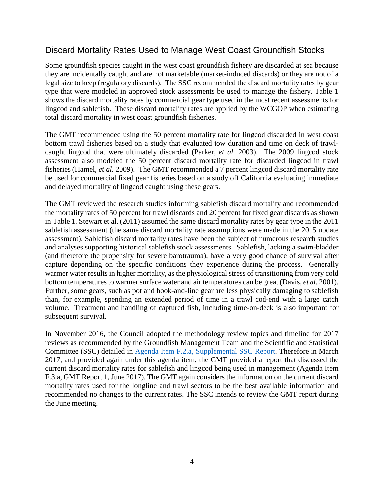### Discard Mortality Rates Used to Manage West Coast Groundfish Stocks

Some groundfish species caught in the west coast groundfish fishery are discarded at sea because they are incidentally caught and are not marketable (market-induced discards) or they are not of a legal size to keep (regulatory discards). The SSC recommended the discard mortality rates by gear type that were modeled in approved stock assessments be used to manage the fishery. Table 1 shows the discard mortality rates by commercial gear type used in the most recent assessments for lingcod and sablefish. These discard mortality rates are applied by the WCGOP when estimating total discard mortality in west coast groundfish fisheries.

The GMT recommended using the 50 percent mortality rate for lingcod discarded in west coast bottom trawl fisheries based on a study that evaluated tow duration and time on deck of trawlcaught lingcod that were ultimately discarded (Parker*, et al.* 2003). The 2009 lingcod stock assessment also modeled the 50 percent discard mortality rate for discarded lingcod in trawl fisheries (Hamel*, et al.* 2009). The GMT recommended a 7 percent lingcod discard mortality rate be used for commercial fixed gear fisheries based on a study off California evaluating immediate and delayed mortality of lingcod caught using these gears.

The GMT reviewed the research studies informing sablefish discard mortality and recommended the mortality rates of 50 percent for trawl discards and 20 percent for fixed gear discards as shown in Table 1. Stewart et al. (2011) assumed the same discard mortality rates by gear type in the 2011 sablefish assessment (the same discard mortality rate assumptions were made in the 2015 update assessment). Sablefish discard mortality rates have been the subject of numerous research studies and analyses supporting historical sablefish stock assessments. Sablefish, lacking a swim-bladder (and therefore the propensity for severe barotrauma), have a very good chance of survival after capture depending on the specific conditions they experience during the process. Generally warmer water results in higher mortality, as the physiological stress of transitioning from very cold bottom temperatures to warmer surface water and air temperatures can be great (Davis*, et al.* 2001). Further, some gears, such as pot and hook-and-line gear are less physically damaging to sablefish than, for example, spending an extended period of time in a trawl cod-end with a large catch volume. Treatment and handling of captured fish, including time-on-deck is also important for subsequent survival.

In November 2016, the Council adopted the methodology review topics and timeline for 2017 reviews as recommended by the Groundfish Management Team and the Scientific and Statistical Committee (SSC) detailed in [Agenda Item F.2.a, Supplemental SSC Report.](http://www.pcouncil.org/wp-content/uploads/2016/11/F2a_Sup_SSC_Rpt_NOV2016BB.pdf) Therefore in March 2017, and provided again under this agenda item, the GMT provided a report that discussed the current discard mortality rates for sablefish and lingcod being used in management (Agenda Item F.3.a, GMT Report 1, June 2017). The GMT again considers the information on the current discard mortality rates used for the longline and trawl sectors to be the best available information and recommended no changes to the current rates. The SSC intends to review the GMT report during the June meeting.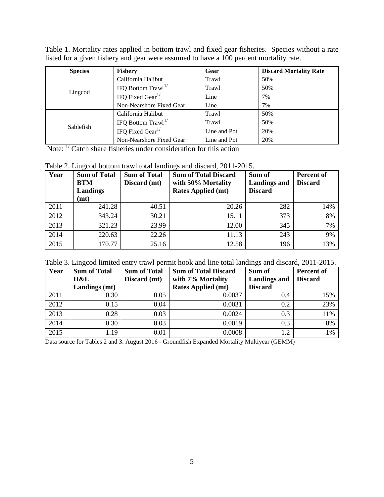| Table 1. Mortality rates applied in bottom trawl and fixed gear fisheries. Species without a rate |  |
|---------------------------------------------------------------------------------------------------|--|
| listed for a given fishery and gear were assumed to have a 100 percent mortality rate.            |  |

| <b>Species</b> | <b>Fishery</b>               | Gear         | <b>Discard Mortality Rate</b> |
|----------------|------------------------------|--------------|-------------------------------|
|                | California Halibut           | Trawl        | 50%                           |
| Lingcod        | IFQ Bottom $Trawl^{1/2}$     | Trawl        | 50%                           |
|                | IFQ Fixed Gear $^{1/}$       | Line         | 7%                            |
|                | Non-Nearshore Fixed Gear     | Line         | 7%                            |
|                | California Halibut           | Trawl        | 50%                           |
| Sablefish      | IFQ Bottom $Trawl^{1/2}$     | Trawl        | 50%                           |
|                | IFO Fixed Gear <sup>1/</sup> | Line and Pot | 20%                           |
|                | Non-Nearshore Fixed Gear     | Line and Pot | 20%                           |

Note: <sup>1/</sup> Catch share fisheries under consideration for this action

Table 2. Lingcod bottom trawl total landings and discard, 2011-2015.

| Year | <b>Sum of Total</b><br><b>BTM</b><br>Landings<br>(mt) | <b>Sum of Total</b><br>Discard (mt) | <b>Sum of Total Discard</b><br>with 50% Mortality<br><b>Rates Applied (mt)</b> | Sum of<br><b>Landings and</b><br><b>Discard</b> | Percent of<br><b>Discard</b> |
|------|-------------------------------------------------------|-------------------------------------|--------------------------------------------------------------------------------|-------------------------------------------------|------------------------------|
| 2011 | 241.28                                                | 40.51                               | 20.26                                                                          | 282                                             | 14%                          |
| 2012 | 343.24                                                | 30.21                               | 15.11                                                                          | 373                                             | 8%                           |
| 2013 | 321.23                                                | 23.99                               | 12.00                                                                          | 345                                             | 7%                           |
| 2014 | 220.63                                                | 22.26                               | 11.13                                                                          | 243                                             | 9%                           |
| 2015 | 170.77                                                | 25.16                               | 12.58                                                                          | 196                                             | 13%                          |

| Table 3. Lingcod limited entry trawl permit hook and line total landings and discard, 2011-2015. |  |  |
|--------------------------------------------------------------------------------------------------|--|--|
|                                                                                                  |  |  |

| Year | <b>Sum of Total</b> | <b>Sum of Total</b> | <b>Sum of Total Discard</b> | Sum of              | Percent of     |
|------|---------------------|---------------------|-----------------------------|---------------------|----------------|
|      | H&L                 | Discard (mt)        | with 7% Mortality           | <b>Landings and</b> | <b>Discard</b> |
|      | Landings (mt)       |                     | <b>Rates Applied (mt)</b>   | <b>Discard</b>      |                |
| 2011 | 0.30                | 0.05                | 0.0037                      | 0.4                 | 15%            |
| 2012 | 0.15                | 0.04                | 0.0031                      | 0.2                 | 23%            |
| 2013 | 0.28                | 0.03                | 0.0024                      | 0.3                 | 11%            |
| 2014 | 0.30                | 0.03                | 0.0019                      | 0.3                 | 8%             |
| 2015 | 1.19                | 0.01                | 0.0008                      | 1.2                 | 1%             |

Data source for Tables 2 and 3: August 2016 - Groundfish Expanded Mortality Multiyear (GEMM)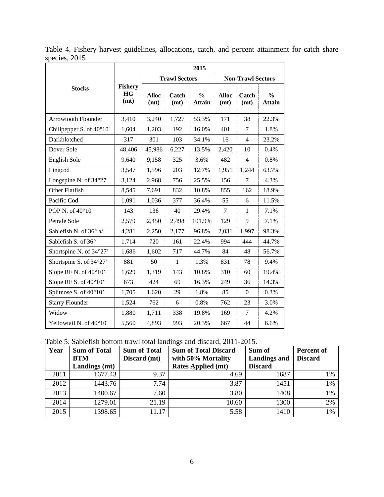|                                   | 2015                                |                      |                      |                                |                          |                |                                |  |
|-----------------------------------|-------------------------------------|----------------------|----------------------|--------------------------------|--------------------------|----------------|--------------------------------|--|
|                                   |                                     |                      | <b>Trawl Sectors</b> |                                | <b>Non-Trawl Sectors</b> |                |                                |  |
| <b>Stocks</b>                     | <b>Fishery</b><br><b>HG</b><br>(mt) | <b>Alloc</b><br>(mt) | Catch<br>(mt)        | $\frac{0}{0}$<br><b>Attain</b> | <b>Alloc</b><br>(mt)     | Catch<br>(mt)  | $\frac{0}{0}$<br><b>Attain</b> |  |
| <b>Arrowtooth Flounder</b>        | 3,410                               | 3,240                | 1,727                | 53.3%                          | 171                      | 38             | 22.3%                          |  |
| Chilipepper S. of $40^{\circ}10'$ | 1,604                               | 1,203                | 192                  | 16.0%                          | 401                      | 7              | 1.8%                           |  |
| Darkblotched                      | 317                                 | 301                  | 103                  | 34.1%                          | 16                       | $\overline{4}$ | 23.2%                          |  |
| Dover Sole                        | 48,406                              | 45,986               | 6,227                | 13.5%                          | 2,420                    | 10             | 0.4%                           |  |
| <b>English Sole</b>               | 9,640                               | 9,158                | 325                  | 3.6%                           | 482                      | $\overline{4}$ | 0.8%                           |  |
| Lingcod                           | 3,547                               | 1,596                | 203                  | 12.7%                          | 1,951                    | 1,244          | 63.7%                          |  |
| Longspine N. of 34°27'            | 3,124                               | 2,968                | 756                  | 25.5%                          | 156                      | 7              | 4.3%                           |  |
| Other Flatfish                    | 8,545                               | 7,691                | 832                  | 10.8%                          | 855                      | 162            | 18.9%                          |  |
| Pacific Cod                       | 1,091                               | 1,036                | 377                  | 36.4%                          | 55                       | 6              | 11.5%                          |  |
| POP N. of 40°10'                  | 143                                 | 136                  | 40                   | 29.4%                          | $\tau$                   | $\mathbf{1}$   | 7.1%                           |  |
| Petrale Sole                      | 2,579                               | 2,450                | 2,498                | 101.9%                         | 129                      | 9              | 7.1%                           |  |
| Sablefish N. of 36° a/            | 4,281                               | 2,250                | 2,177                | 96.8%                          | 2,031                    | 1,997          | 98.3%                          |  |
| Sablefish S. of 36°               | 1,714                               | 720                  | 161                  | 22.4%                          | 994                      | 444            | 44.7%                          |  |
| Shortspine N. of 34°27'           | 1,686                               | 1,602                | 717                  | 44.7%                          | 84                       | 48             | 56.7%                          |  |
| Shortspine S. of 34°27'           | 881                                 | 50                   | $\mathbf{1}$         | 1.3%                           | 831                      | 78             | 9.4%                           |  |
| Slope RF N. of $40^{\circ}10'$    | 1,629                               | 1,319                | 143                  | 10.8%                          | 310                      | 60             | 19.4%                          |  |
| Slope RF S. of $40^{\circ}10'$    | 673                                 | 424                  | 69                   | 16.3%                          | 249                      | 36             | 14.3%                          |  |
| Splitnose S. of 40°10'            | 1,705                               | 1,620                | 29                   | 1.8%                           | 85                       | $\Omega$       | 0.3%                           |  |
| <b>Starry Flounder</b>            | 1,524                               | 762                  | 6                    | 0.8%                           | 762                      | 23             | 3.0%                           |  |
| Widow                             | 1,880                               | 1,711                | 338                  | 19.8%                          | 169                      | $\overline{7}$ | 4.2%                           |  |
| Yellowtail N. of 40°10'           | 5,560                               | 4,893                | 993                  | 20.3%                          | 667                      | 44             | 6.6%                           |  |

Table 4. Fishery harvest guidelines, allocations, catch, and percent attainment for catch share species, 2015

Table 5. Sablefish bottom trawl total landings and discard, 2011-2015.

| Year | <b>Sum of Total</b><br><b>BTM</b><br>Landings (mt) | <b>Sum of Total</b><br>Discard (mt) | <b>Sum of Total Discard</b><br>with 50% Mortality<br><b>Rates Applied (mt)</b> | Sum of<br><b>Landings and</b><br><b>Discard</b> | <b>Percent of</b><br><b>Discard</b> |
|------|----------------------------------------------------|-------------------------------------|--------------------------------------------------------------------------------|-------------------------------------------------|-------------------------------------|
| 2011 | 1677.43                                            | 9.37                                | 4.69                                                                           | 1687                                            | 1%                                  |
| 2012 | 1443.76                                            | 7.74                                | 3.87                                                                           | 1451                                            | 1%                                  |
| 2013 | 1400.67                                            | 7.60                                | 3.80                                                                           | 1408                                            | 1%                                  |
| 2014 | 1279.01                                            | 21.19                               | 10.60                                                                          | 1300                                            | 2%                                  |
| 2015 | 1398.65                                            | 11.17                               | 5.58                                                                           | 1410                                            | 1%                                  |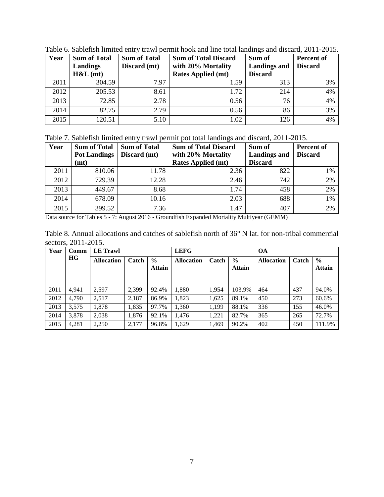| Year | <b>Sum of Total</b><br>Landings<br>H&L(mt) | <b>Sum of Total</b><br>Discard (mt) | <b>Sum of Total Discard</b><br>with 20% Mortality<br><b>Rates Applied (mt)</b> | Sum of<br><b>Landings and</b><br><b>Discard</b> | <b>Percent of</b><br><b>Discard</b> |
|------|--------------------------------------------|-------------------------------------|--------------------------------------------------------------------------------|-------------------------------------------------|-------------------------------------|
|      |                                            |                                     |                                                                                |                                                 |                                     |
| 2011 | 304.59                                     | 7.97                                | 1.59                                                                           | 313                                             | 3%                                  |
| 2012 | 205.53                                     | 8.61                                | 1.72                                                                           | 214                                             | 4%                                  |
| 2013 | 72.85                                      | 2.78                                | 0.56                                                                           | 76                                              | 4%                                  |
| 2014 | 82.75                                      | 2.79                                | 0.56                                                                           | 86                                              | 3%                                  |
| 2015 | 120.51                                     | 5.10                                | 1.02                                                                           | 126                                             | 4%                                  |

Table 6. Sablefish limited entry trawl permit hook and line total landings and discard, 2011-2015.

Table 7. Sablefish limited entry trawl permit pot total landings and discard, 2011-2015.

| Year | <b>Sum of Total</b><br><b>Pot Landings</b> | <b>Sum of Total</b><br>Discard (mt) | <b>Sum of Total Discard</b><br>with 20% Mortality | Sum of<br><b>Landings and</b> | Percent of<br><b>Discard</b> |
|------|--------------------------------------------|-------------------------------------|---------------------------------------------------|-------------------------------|------------------------------|
|      | (mt)                                       |                                     | <b>Rates Applied (mt)</b>                         | <b>Discard</b>                |                              |
| 2011 | 810.06                                     | 11.78                               | 2.36                                              | 822                           | 1%                           |
| 2012 | 729.39                                     | 12.28                               | 2.46                                              | 742                           | 2%                           |
| 2013 | 449.67                                     | 8.68                                | 1.74                                              | 458                           | 2%                           |
| 2014 | 678.09                                     | 10.16                               | 2.03                                              | 688                           | 1%                           |
| 2015 | 399.52                                     | 7.36                                | 1.47                                              | 407                           | 2%                           |

Data source for Tables 5 - 7: August 2016 - Groundfish Expanded Mortality Multiyear (GEMM)

| Table 8. Annual allocations and catches of sable fish north of 36° N lat. for non-tribal commercial |  |  |  |
|-----------------------------------------------------------------------------------------------------|--|--|--|
| sectors, 2011-2015.                                                                                 |  |  |  |

| Year<br>Comm |       | <b>LE</b> Trawl   |       |                                | <b>LEFG</b>       |       |                                | <b>OA</b>         |       |                                |
|--------------|-------|-------------------|-------|--------------------------------|-------------------|-------|--------------------------------|-------------------|-------|--------------------------------|
|              | HG    | <b>Allocation</b> | Catch | $\frac{6}{9}$<br><b>Attain</b> | <b>Allocation</b> | Catch | $\frac{6}{6}$<br><b>Attain</b> | <b>Allocation</b> | Catch | $\frac{6}{6}$<br><b>Attain</b> |
| 2011         | 4.941 | 2.597             | 2.399 | 92.4%                          | 1,880             | 1.954 | 103.9%                         | 464               | 437   | 94.0%                          |
| 2012         | 4.790 | 2,517             | 2,187 | 86.9%                          | 1,823             | 1,625 | 89.1%                          | 450               | 273   | 60.6%                          |
| 2013         | 3.575 | 1.878             | 1,835 | 97.7%                          | 1,360             | 1,199 | 88.1%                          | 336               | 155   | 46.0%                          |
| 2014         | 3,878 | 2,038             | 1,876 | 92.1%                          | 1,476             | 1,221 | 82.7%                          | 365               | 265   | 72.7%                          |
| 2015         | 4,281 | 2,250             | 2,177 | 96.8%                          | 1,629             | 1,469 | 90.2%                          | 402               | 450   | 111.9%                         |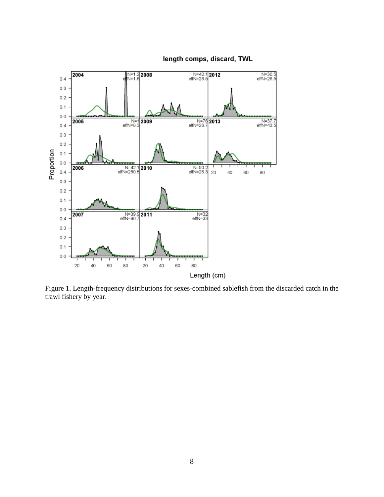

length comps, discard, TWL

Figure 1. Length-frequency distributions for sexes-combined sablefish from the discarded catch in the trawl fishery by year.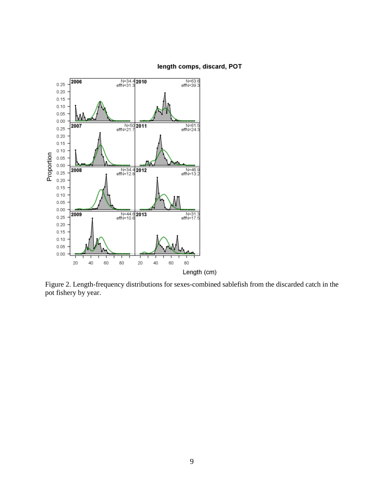

#### length comps, discard, POT

Figure 2. Length-frequency distributions for sexes-combined sablefish from the discarded catch in the pot fishery by year.